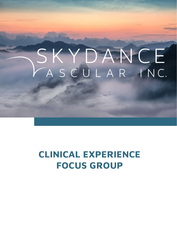# SKYDANCE ASCULAR INC.

### CLINICAL EXPERIENCE FOCUS GROUP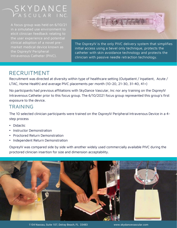## SKYDANCE<br>CASCULAR INC.

A focus group was held on 6/10/21 in a simulated use environment to elicit clinician feedback relating to the user experience and potential clinical adoption of a novel premarket medical device known as the OspreyIV Peripheral Intravenous Catheter (PIVC).



The OspreyIV is the only PIVC delivery system that simplifies initial access using a bevel only technique, protects the catheter with skin avoidance technology and protects the clinician with passive needle retraction technology.

### RECRUITMENT

Recruitment was directed at diversity within type of healthcare setting (Outpatient / Inpatient, Acute / LTAC, Home Health) and average PIVC placements per month (10-20, 21-30, 31-40, 41+)

No participants had previous affiliations with SkyDance Vascular, Inc nor any training on the OspreyIV Intravenous Catheter prior to this focus group. The 6/10/2021 focus group represented this group's first exposure to the device.

#### TRAINING

The 10 selected clinician participants were trained on the OspreyIV Peripheral Intravenous Device in a 4 step process

- Didactic
- Instructor Demonstration
- Proctored Return Demonstration
- Independent Return Demonstration

OspreyIV was compared side by side with another widely used commercially available PIVC during the proctored clinician insertion for size and dimension acceptability.



1104 Nassau, Suite 107, Delray Beach, FL 33483 www.skydancevascular.com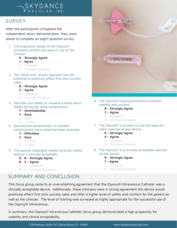#### **SURVEY**

After the participants completed the independent return demonstration, they were asked to complete an eight-question survey. FRIMELT THE SET INC.<br>
For the participants completed the<br>
dependent return demonstration, they were<br>
sked to complete an eight-question survey.<br>
1. The ergonomic design of the OspreyIV<br>
promotes comfort and ease of use for E I<br>
Participants completed the<br>
Jent return demonstration, they w<br>
complete an eight-question surve<br>
Pergonomic design of the Ospreyl<br>
Motes comfort and ease of use for the<br>
Ician.<br>
9 – **Strongly Agree<br>
1 – Agree**<br>
0 – Di Publication of Participants completed the<br>
1<br>
1 dent return demonstration, they v<br>
1 complete an eight-question surv<br>
1 ergonomic design of the Ospreyl<br>
1 motes comfort and ease of use for<br>
1 – **Agree<br>
1 – Agree**<br>
1 – **Agr** Participants completed the<br>dent return demonstration, they w<br>complete an eight-question surve<br>regonomic design of the OspreylV<br>motes comfort and ease of use for t<br>ician.<br>**9 – Strongly Agree<br>1 – Agree**<br>0 – Disagree<br>0 – Stro

- promotes comfort and ease of use for the clinician. dent return demonstration, they we<br>complete an eight-question survey<br>exponentic design of the OspreylV<br>motes comfort and ease of use for the<br>ician.<br>**9 – Strongly Agree<br>1 – Agree**<br>0 – Disagree<br>0 – Strongly Disagree<br>extial t
	-
	-
	-
	-
- Sked to complete an eight-question survey.<br>
1. The ergonomic design of the OspreylV<br>
promotes comfort and ease of use for the<br>
clinician.<br> **9 Strongly Agree<br>
1 Agree**<br>
0 Disagree<br>
0 Strongly Disagree<br>
2. The "beve potential to positively affect first stick success rates. motes comfort and ease of use for tl<br>ician.<br>**9 – Strongly Agree<br>1 – Agree**<br>0 – Disagree<br>0 – Strongly Disagree<br>: "bevel only" access approach has th<br>ential to positively affect first stick st<br>ss.<br>**8 – Strongly Agree<br>2 – Agr** ician.<br>**9 – Strongly Agree<br>1 – Agree**<br>0 – Disagree<br>0 – Strongly Disagree<br>: "bevel only" access approach has t<br>ential to positively affect first stick s<br>ss.<br>**8 – Strongly Agree<br>2 – Agree**<br>0 – Disagree<br>0 – Strongly Disagree 9 – Strongly Agree<br>1 – Agree<br>0 – Disagree<br>0 – Strongly Disagree<br>: "bevel only" access approach has tl<br>ential to positively affect first stick s<br>ss.<br>8 – Strongly Agree<br>2 – Agree<br>0 – Disagree<br>0 – Strongly Disagree<br>cribe your 1 – Agree<br>
0 – Disagree<br>
0 – Strongly Disagree<br>
: "bevel only" access approach has the<br>
ential to positively affect first stick sues.<br>
8 – Strongly Agree<br>
2 – Agree<br>
0 – Disagree<br>
0 – Strongly Disagree<br>
cribe your ability 3. Describe your actes approach has the<br>
3. Described by a control of the potential to positively affect first stick success<br>
rates.<br>
8. **S-Strongly Agree<br>
2 - Agree**<br>  $0 - \text{Disagree}$ <br>  $0 - \text{Strongly Disagree}$ <br>
8. Describe your ability to Provel only" access approach has to<br>ential to positively affect first stick s<br>ss.<br>**8 – Strongly Agree<br>2 – Agree<br>0 – Disagree<br>O – Strongly Disagree<br>cribe your ability to visualize a blook<br>sh) during the initial venipuncture** 
	-
	-
	-
	-
- (flash) during the initial venipuncture. ential to positively affect first stick s<br> **8 – Strongly Agree<br>
2 – Agree**<br>
0 – Disagree<br>
0 – Strongly Disagree<br>
cribe your ability to visualize a blook<br>
sh) during the initial venipuncture.<br> **7 – Unmistakable<br>
3 – Easy**<br> **8 – Strongly Agree<br>
2 – Agree**<br>
0 – Disagree<br>
0 – Strongly Disagree<br>
cribe your ability to visualize a blood<br>
sh) during the initial venipuncture.<br> **7 – Unmistakable<br>
3 – Easy**<br>
0 – Able<br>
0 – Unable<br>
cribe the advancement
	-
	-
	-
	-
- **8 Strongly Agree<br>
2 Agree**<br>
0 Disagree<br>
0 Strongly Disagree<br>
cribe your ability to visualize a blook<br>
sh) during the initial venipuncture.<br> **7 Unmistakable<br>
3 Easy**<br>
0 Able<br>
0 Unable<br>
cribe the advancement 2 – Agree<br>  $0$  – Disagree<br>  $0$  – Strongly Disagree<br>
3. Describe your ability to visualize a blood return<br>
(flash) during the initial venipuncture.<br>
7 – **Unmistakable<br>
3 – Easy**<br>  $0$  – Able<br>  $0$  – Unable<br>
4. Describe the a advancement once vessel has been accessed. 0 – Strongly Disagree<br>
cribe your ability to visualize a bloom<br>
sh) during the initial venipuncture.<br> **7 – Unmistakable<br>
3 – Easy**<br>
0 – Able<br>
0 – Unable<br>
cribe the advancement of catheter<br> **7 – Effortless<br>
3 – Easy**<br>
0 – D cribe your ability to visualize a bloom<br>
Sh) during the initial venipuncture.<br> **7 – Unmistakable**<br> **3 – Easy**<br>
0 – Able<br>
C – Unable<br>
cribe the advancement of catheter<br>
ancement once vessel has been acc<br> **7 – Effortless**<br> sh) during the initial venipuncture.<br> **7 – Unmistakable**<br> **3 – Easy**<br>
0 – Able<br>
0 – Unable<br>
cribe the advancement of catheter<br>
ancement once vessel has been acc<br> **7 – Effortless<br>
3 – Easy**<br>
0 – Difficult<br>
0 – Unable<br>
passi 7 – Unmistakable<br>
3 – Easy<br>  $0 -$  Able<br>  $0 -$  Unable<br>
cribe the advancement of catheter<br>
ancement once vessel has been acc<br>
7 – Effortless<br>
3 – Easy<br>  $0 -$  Difficult<br>  $0 -$  Unable<br>  $\cdot$  passive integrated needle retraction 0 – Unable<br>
cribe the advancement of catheter<br>
ancement once vessel has been accesse<br> **7 – Effortless<br>
3 – Easy**<br>
0 – Difficult<br>
0 – Unable<br>
Passive integrated needle retraction sature is clinically acceptable.<br> **5. 8 – St** 
	-
	-
	-
	-
- 3 Easy<br>  $0 -$  Able<br>  $0 -$  Unable<br>
4. Describe the advancement of catheter<br>
advancement once vessel has been accessed.<br>
7 Effortless<br>
3 Easy<br>  $0 -$  Difficult<br>  $0 -$  Unable<br>
5. The passive integrated needle retraction saf feature is clinically acceptable. cribe the advancement of catheter<br>
ancement once vessel has been access<br> **7 – Effortless**<br> **3 – Easy**<br>
0 – Difficult<br>
0 – Unable<br>
Passive integrated needle retraction sature is clinically acceptable.<br> **5. 8 – Strongly Agre** ancement once vessel has been accesse<br> **7 – Effortless**<br> **3 – Easy**<br>
0 – Difficult<br>
0 – Unable<br>
passive integrated needle retraction sa<br>
ture is clinically acceptable.<br> **5. 8 – Strongly Agree**<br> **6. 2 – Agree**<br>
7. 0 – Disag 7 – Effortless<br>
3 – Easy<br>
0 – Difficult<br>
0 – Unable<br>
passive integrated needle retraction safe<br>
ture is clinically acceptable.<br>
5. 8 – Strongly Agree<br>
6. 2 – Agree<br>
7. 0 – Disagree<br>
8. 0 – Strongly Disagree<br>
MARY AND CONCL
	-
	-
	-
	-

#### SUMMARY AND CONCLUSION



- stability and comfort. OspreylV housing dimensions promo<br>
bility and comfort.<br> **8 – Strongly Agree<br>
2 – Agree<br>
0 – Disagree<br>
0 – Strongly Disagree<br>
OspreylV is an easy-to-use and eas<br>
ch vascular access device.<br>
<b>6 – Strongly Agree<br>
4 – Agree**<br>
	-
	-
	-
	-
- teach vascular access device. - OspreylV housing dimensions prom<br>bility and comfort.<br>**8 – Strongly Agree<br>2 – Agree**<br>0 – Disagree<br>0 – Strongly Disagree<br>- OspreylV is an easy-to-use and eas<br>ch vascular access device.<br>**6 – Strongly Agree**<br>**4 – Agree**<br>0 – o - **Strongly Agree**<br> **8 – Strongly Agree<br>
2 – Agree**<br>
0 – Disagree<br>
0 – Strongly Disagree<br>
OspreylV is an easy-to-use and easy<br>
ch vascular access device.<br> **6 – Strongly Agree<br>
4 – Agree**<br>
0 – Disagree<br>
0 – Strongly Disag **8 – Strongly Agree<br>
2 – Agree**<br>
0 – Disagree<br>
0 – Strongly Disagree<br>
0 SpreylV is an easy-to-use and easy-<br>
ch vascular access device.<br> **6 – Strongly Agree<br>
4 – Agree**<br>
0 – Disagree<br>
0 – Strongly Disagree<br>
0 – Strongly Di 9 – Strongly Assextive<br>
9 – Strongly Agree<br>
Chivascular access device.<br> **6 – Strongly Agree<br>
4 – Agree<br>
C – Disagree<br>
C – Strongly Disagree<br>
9 – Strongly Agree<br>
1 – Agree<br>
C – Disagree<br>
C – Disagree<br>
C – Disagree** 
	-
	-
	-
	-
- 0 Disagree<br>
0 Strongly Disagree<br>
7. The OspreyIV is an easy-to-use and easy-to-<br>
teach vascular access device.<br>
6 Strongly Agree<br>
4 Agree<br>
0 Disagree<br>
0 Strongly Disagree<br>
8. The OspreyIV is a clinically accept access device. · OspreylV is an easy-to-use and ea<br>ch vascular access device.<br>**6 – Strongly Agree<br>4 – Agree**<br>0 – Disagree<br>0 – Strongly Disagree<br>• OspreylV is a clinically acceptable<br>• Strongly Agree<br>1 – Agree<br>0 – Disagree<br>0 – Strongly Di ch vascular access device.<br> **6 – Strongly Agree<br>
4 – Agree**<br>
0 – Disagree<br>
0 – Strongly Disagree<br>
OspreylV is a clinically acceptable v<br>
ess device.<br> **9 – Strongly Agree<br>
1 – Agree**<br>
0 – Disagree<br>
0 – Strongly Disagree 6 – Strongly Agree<br>4 – Agree<br>0 – Disagree<br>0 – Strongly Disagree<br>• OspreylV is a clinically acceptable vas<br>ess device.<br>9 – Strongly Agree<br>1 – Agree<br>0 – Disagree<br>0 – Strongly Disagree
	-
	-
	-
	-

This focus group came to an overwhelming agreement that the OspreyIV Intravenous Catheter was a clinically acceptable device. Additionally, these clinicians were in strong agreement this device would positively affect first stick success rates and offer a higher level of safety and comfort for the patient as well as the clinician. The level of training was surveyed as highly appropriate for the successful use of the OspreyIV Intravenous.

In summary, the OspreyIV Intravenous Catheter focus group demonstrated a high propensity for usability and clinical acceptability.

1104 Nassau, Suite 107, Delray Beach, FL 33483 www.skydancevascular.com